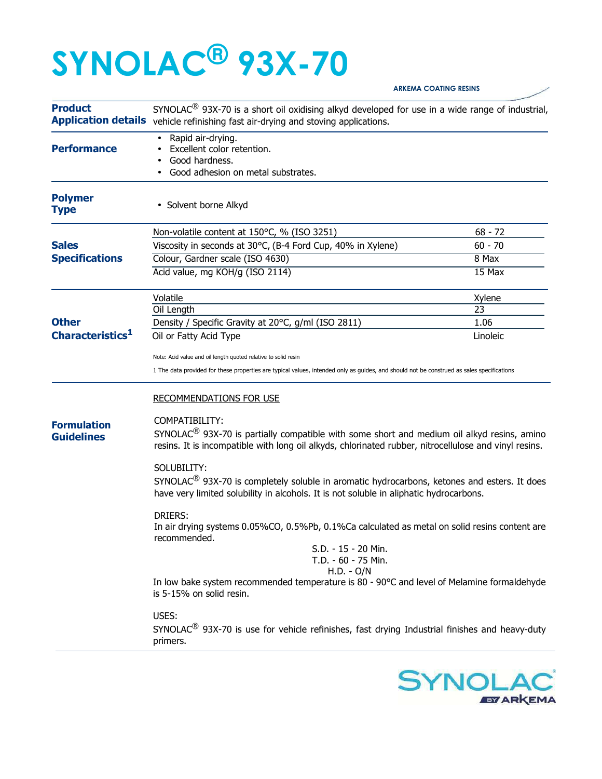## **SYNOLAC® 93X-70**

| <b>Product</b>                               | SYNOLAC <sup>®</sup> 93X-70 is a short oil oxidising alkyd developed for use in a wide range of industrial,<br>Application details vehicle refinishing fast air-drying and stoving applications.                                  |                 |  |
|----------------------------------------------|-----------------------------------------------------------------------------------------------------------------------------------------------------------------------------------------------------------------------------------|-----------------|--|
| <b>Performance</b>                           | Rapid air-drying.<br>Excellent color retention.<br>Good hardness.<br>Good adhesion on metal substrates.                                                                                                                           |                 |  |
| <b>Polymer</b><br><b>Type</b>                | • Solvent borne Alkyd                                                                                                                                                                                                             |                 |  |
| <b>Sales</b><br><b>Specifications</b>        | Non-volatile content at 150°C, % (ISO 3251)                                                                                                                                                                                       | $68 - 72$       |  |
|                                              | Viscosity in seconds at 30°C, (B-4 Ford Cup, 40% in Xylene)                                                                                                                                                                       | $60 - 70$       |  |
|                                              | Colour, Gardner scale (ISO 4630)                                                                                                                                                                                                  | 8 Max           |  |
|                                              | Acid value, mg KOH/g (ISO 2114)                                                                                                                                                                                                   | 15 Max          |  |
| <b>Other</b><br>Characteristics <sup>1</sup> | Volatile                                                                                                                                                                                                                          | Xylene          |  |
|                                              | Oil Length                                                                                                                                                                                                                        | $\overline{23}$ |  |
|                                              | Density / Specific Gravity at 20°C, g/ml (ISO 2811)                                                                                                                                                                               | 1.06            |  |
|                                              | Oil or Fatty Acid Type                                                                                                                                                                                                            | Linoleic        |  |
|                                              | Note: Acid value and oil length quoted relative to solid resin                                                                                                                                                                    |                 |  |
|                                              | 1 The data provided for these properties are typical values, intended only as guides, and should not be construed as sales specifications                                                                                         |                 |  |
|                                              | <b>RECOMMENDATIONS FOR USE</b>                                                                                                                                                                                                    |                 |  |
| <b>Formulation</b><br><b>Guidelines</b>      | COMPATIBILITY:<br>SYNOLAC <sup>®</sup> 93X-70 is partially compatible with some short and medium oil alkyd resins, amino<br>resins. It is incompatible with long oil alkyds, chlorinated rubber, nitrocellulose and vinyl resins. |                 |  |
|                                              | SOLUBILITY:<br>SYNOLAC <sup>®</sup> 93X-70 is completely soluble in aromatic hydrocarbons, ketones and esters. It does<br>have very limited solubility in alcohols. It is not soluble in aliphatic hydrocarbons.                  |                 |  |
|                                              | <b>DRIERS:</b><br>In air drying systems 0.05%CO, 0.5%Pb, 0.1%Ca calculated as metal on solid resins content are<br>recommended.<br>S.D. - 15 - 20 Min.                                                                            |                 |  |
|                                              | T.D. - 60 - 75 Min.<br>$H.D. - O/N$                                                                                                                                                                                               |                 |  |
|                                              | In low bake system recommended temperature is 80 - 90°C and level of Melamine formaldehyde<br>is 5-15% on solid resin.                                                                                                            |                 |  |
|                                              | USES:<br>SYNOLAC <sup>®</sup> 93X-70 is use for vehicle refinishes, fast drying Industrial finishes and heavy-duty<br>primers.                                                                                                    |                 |  |



**ARKEMA COATING RESINS**